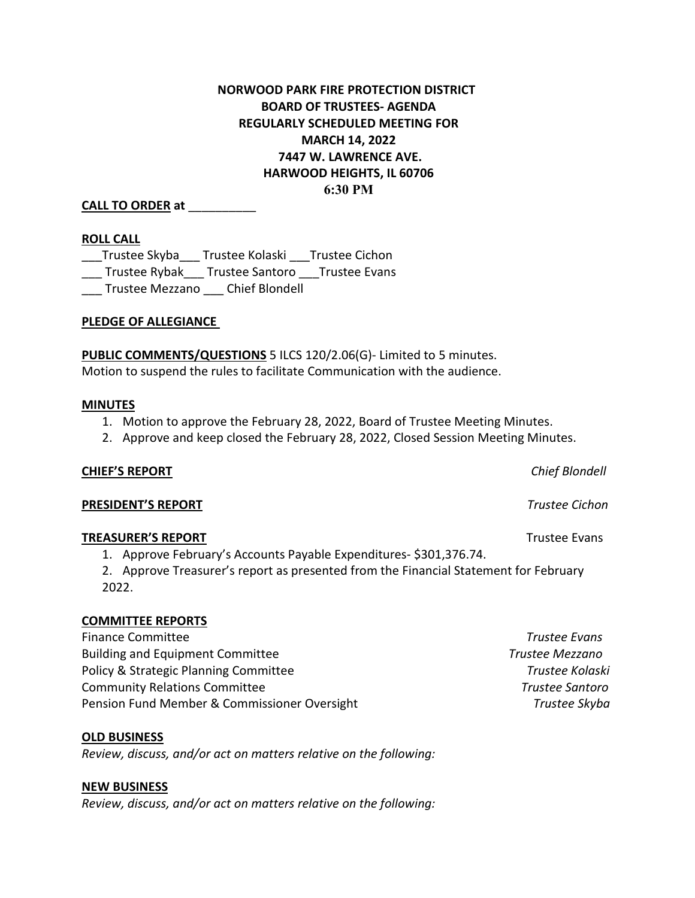# **NORWOOD PARK FIRE PROTECTION DISTRICT BOARD OF TRUSTEES- AGENDA REGULARLY SCHEDULED MEETING FOR MARCH 14, 2022 7447 W. LAWRENCE AVE. HARWOOD HEIGHTS, IL 60706 6:30 PM**

## **CALL TO ORDER at** \_\_\_\_\_\_\_\_\_\_

#### **ROLL CALL**

\_\_\_Trustee Skyba\_\_\_ Trustee Kolaski \_\_\_Trustee Cichon \_\_\_ Trustee Rybak\_\_\_ Trustee Santoro \_\_\_Trustee Evans \_\_\_ Trustee Mezzano \_\_\_ Chief Blondell

### **PLEDGE OF ALLEGIANCE**

**PUBLIC COMMENTS/QUESTIONS** 5 ILCS 120/2.06(G)- Limited to 5 minutes. Motion to suspend the rules to facilitate Communication with the audience.

#### **MINUTES**

- 1. Motion to approve the February 28, 2022, Board of Trustee Meeting Minutes.
- 2. Approve and keep closed the February 28, 2022, Closed Session Meeting Minutes.

#### **CHIEF'S REPORT** *Chief Blondell*

#### **PRESIDENT'S REPORT** *Trustee Cichon*

#### **TREASURER'S REPORT** TREASURER'S **REPORT**

1. Approve February's Accounts Payable Expenditures- \$301,376.74.

2. Approve Treasurer's report as presented from the Financial Statement for February 2022.

#### **COMMITTEE REPORTS**

Finance Committee *Trustee Evans*  Building and Equipment Committee *Trustee Mezzano* Policy & Strategic Planning Committee **Trustee Kolaski Trustee Kolaski** Community Relations Committee *Trustee Santoro* Pension Fund Member & Commissioner Oversight **Trustee Skyba** 7rustee Skyba

**OLD BUSINESS**

*Review, discuss, and/or act on matters relative on the following:*

#### **NEW BUSINESS**

*Review, discuss, and/or act on matters relative on the following:*